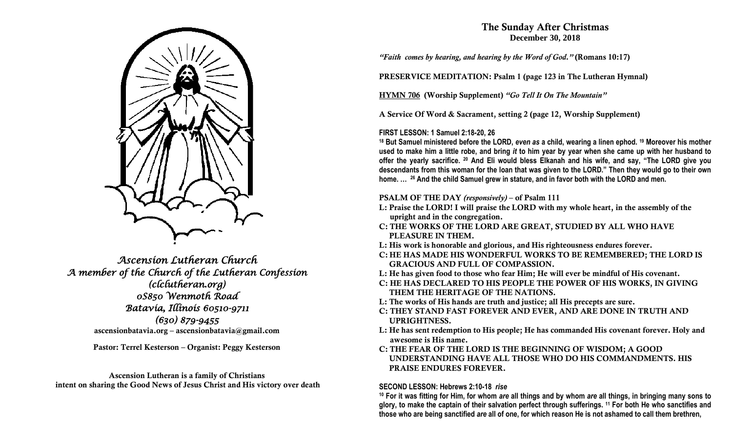

*Ascension Lutheran Church A member of the Church of the Lutheran Confession (clclutheran.org) 0S850 Wenmoth Road Batavia, Illinois 60510-9711 (630) 879-9455*  **ascensionbatavia.org – ascensionbatavia@gmail.com**

**Pastor: Terrel Kesterson – Organist: Peggy Kesterson**

**Ascension Lutheran is a family of Christians intent on sharing the Good News of Jesus Christ and His victory over death**

# **The Sunday After Christmas December 30, 2018**

*"Faith comes by hearing, and hearing by the Word of God."* **(Romans 10:17)**

**PRESERVICE MEDITATION: Psalm 1 (page 123 in The Lutheran Hymnal)**

**HYMN 706 (Worship Supplement)** *"Go Tell It On The Mountain"*

**A Service Of Word & Sacrament, setting 2 (page 12, Worship Supplement)**

## **FIRST LESSON: 1 Samuel 2:18-20, 26**

**<sup>18</sup> But Samuel ministered before the LORD,** *even as* **a child, wearing a linen ephod. <sup>19</sup> Moreover his mother used to make him a little robe, and bring** *it* **to him year by year when she came up with her husband to offer the yearly sacrifice. <sup>20</sup> And Eli would bless Elkanah and his wife, and say, "The LORD give you descendants from this woman for the loan that was given to the LORD." Then they would go to their own home. … <sup>26</sup> And the child Samuel grew in stature, and in favor both with the LORD and men.**

### **PSALM OF THE DAY** *(responsively)* **– of Psalm 111**

- **L: Praise the LORD! I will praise the LORD with my whole heart, in the assembly of the upright and in the congregation.**
- **C: THE WORKS OF THE LORD ARE GREAT, STUDIED BY ALL WHO HAVE PLEASURE IN THEM.**
- **L: His work is honorable and glorious, and His righteousness endures forever.**
- **C: HE HAS MADE HIS WONDERFUL WORKS TO BE REMEMBERED; THE LORD IS GRACIOUS AND FULL OF COMPASSION.**
- **L: He has given food to those who fear Him; He will ever be mindful of His covenant.**
- **C: HE HAS DECLARED TO HIS PEOPLE THE POWER OF HIS WORKS, IN GIVING THEM THE HERITAGE OF THE NATIONS.**
- **L: The works of His hands are truth and justice; all His precepts are sure.**
- **C: THEY STAND FAST FOREVER AND EVER, AND ARE DONE IN TRUTH AND UPRIGHTNESS.**
- **L: He has sent redemption to His people; He has commanded His covenant forever. Holy and awesome is His name.**
- **C: THE FEAR OF THE LORD IS THE BEGINNING OF WISDOM; A GOOD UNDERSTANDING HAVE ALL THOSE WHO DO HIS COMMANDMENTS. HIS PRAISE ENDURES FOREVER.**

### **SECOND LESSON: Hebrews 2:10-18** *rise*

**<sup>10</sup> For it was fitting for Him, for whom** *are* **all things and by whom** *are* **all things, in bringing many sons to glory, to make the captain of their salvation perfect through sufferings. <sup>11</sup> For both He who sanctifies and those who are being sanctified** *are* **all of one, for which reason He is not ashamed to call them brethren,**